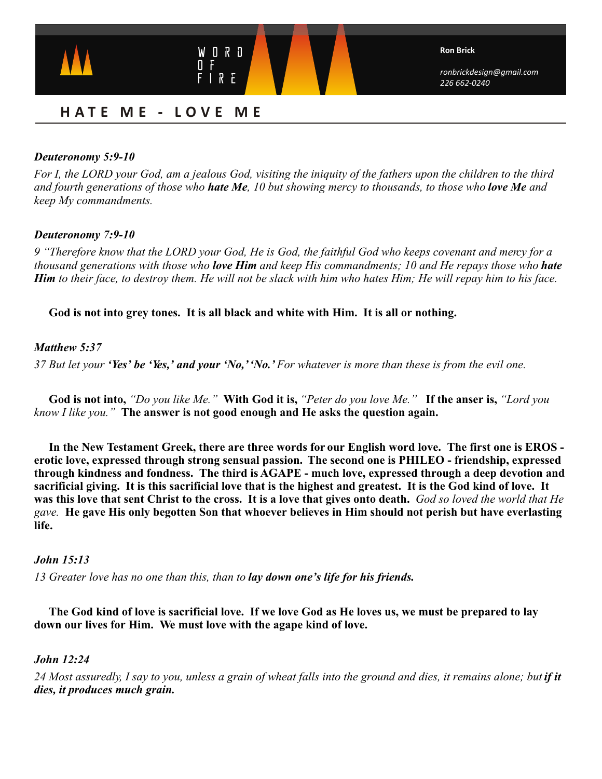

# **H A T E M E - L O V E M E**

# *Deuteronomy 5:9-10*

*For I, the LORD your God, am a jealous God, visiting the iniquity of the fathers upon the children to the third and fourth generations of those who hate Me, 10 but showing mercy to thousands, to those who love Me and keep My commandments.*

# *Deuteronomy 7:9-10*

*9 "Therefore know that the LORD your God, He is God, the faithful God who keeps covenant and mercy for a thousand generations with those who love Him and keep His commandments; 10 and He repays those who hate Him to their face, to destroy them. He will not be slack with him who hates Him; He will repay him to his face.*

# **God is not into grey tones. It is all black and white with Him. It is all or nothing.**

# *Matthew 5:37*

*37 But let your 'Yes' be 'Yes,' and your 'No,' 'No.' For whatever is more than these is from the evil one.*

 **God is not into,** *"Do you like Me."* **With God it is,** *"Peter do you love Me."* **If the anser is,** *"Lord you know I like you."* **The answer is not good enough and He asks the question again.** 

 **In the New Testament Greek, there are three words for our English word love. The first one is EROS erotic love, expressed through strong sensual passion. The second one is PHILEO - friendship, expressed through kindness and fondness. The third is AGAPE - much love, expressed through a deep devotion and sacrificial giving. It is this sacrificial love that is the highest and greatest. It is the God kind of love. It was this love that sent Christ to the cross. It is a love that gives onto death.** *God so loved the world that He gave.* **He gave His only begotten Son that whoever believes in Him should not perish but have everlasting life.**

### *John 15:13*

*13 Greater love has no one than this, than to lay down one's life for his friends.*

 **The God kind of love is sacrificial love. If we love God as He loves us, we must be prepared to lay down our lives for Him. We must love with the agape kind of love.**

### *John 12:24*

*24 Most assuredly, I say to you, unless a grain of wheat falls into the ground and dies, it remains alone; but if it dies, it produces much grain.*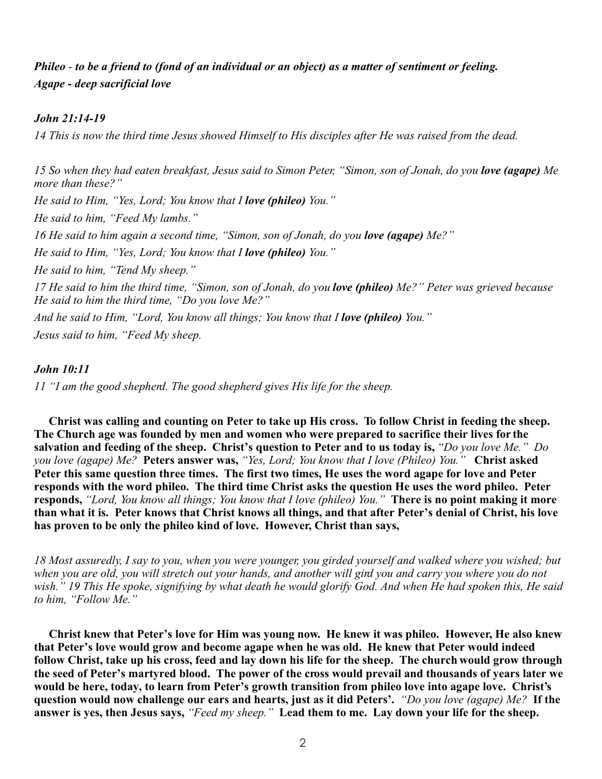# *Phileo - to be a friend to (fond of an individual or an object) as a matter of sentiment or feeling. Agape - deep sacrificial love*

# *John 21:14-19*

*14 This is now the third time Jesus showed Himself to His disciples after He was raised from the dead.*

*15 So when they had eaten breakfast, Jesus said to Simon Peter, "Simon, son of Jonah, do you love (agape) Me more than these?" He said to Him, "Yes, Lord; You know that I love (phileo) You." He said to him, "Feed My lambs." 16 He said to him again a second time, "Simon, son of Jonah, do you love (agape) Me?" He said to Him, "Yes, Lord; You know that I love (phileo) You." He said to him, "Tend My sheep." 17 He said to him the third time, "Simon, son of Jonah, do you love (phileo) Me?" Peter was grieved because He said to him the third time, "Do you love Me?" And he said to Him, "Lord, You know all things; You know that I love (phileo) You."* 

*Jesus said to him, "Feed My sheep.* 

### *John 10:11*

*11 "I am the good shepherd. The good shepherd gives His life for the sheep.*

 **Christ was calling and counting on Peter to take up His cross. To follow Christ in feeding the sheep. The Church age was founded by men and women who were prepared to sacrifice their lives for the salvation and feeding of the sheep. Christ's question to Peter and to us today is,** *"Do you love Me." Do you love (agape) Me?* **Peters answer was,** *"Yes, Lord; You know that I love (Phileo) You."* **Christ asked Peter this same question three times. The first two times, He uses the word agape for love and Peter responds with the word phileo. The third time Christ asks the question He uses the word phileo. Peter responds,** *"Lord, You know all things; You know that I love (phileo) You."* **There is no point making it more than what it is. Peter knows that Christ knows all things, and that after Peter's denial of Christ, his love has proven to be only the phileo kind of love. However, Christ than says,** 

*18 Most assuredly, I say to you, when you were younger, you girded yourself and walked where you wished; but when you are old, you will stretch out your hands, and another will gird you and carry you where you do not wish." 19 This He spoke, signifying by what death he would glorify God. And when He had spoken this, He said to him, "Follow Me."*

**Christ knew that Peter's love for Him was young now. He knew it was phileo. However, He also knew that Peter's love would grow and become agape when he was old. He knew that Peter would indeed follow Christ, take up his cross, feed and lay down his life for the sheep. The church would grow through the seed of Peter's martyred blood. The power of the cross would prevail and thousands of years later we would be here, today, to learn from Peter's growth transition from phileo love into agape love. Christ's question would now challenge our ears and hearts, just as it did Peters'.** *"Do you love (agape) Me?* **If the answer is yes, then Jesus says,** *"Feed my sheep."* **Lead them to me. Lay down your life for the sheep.**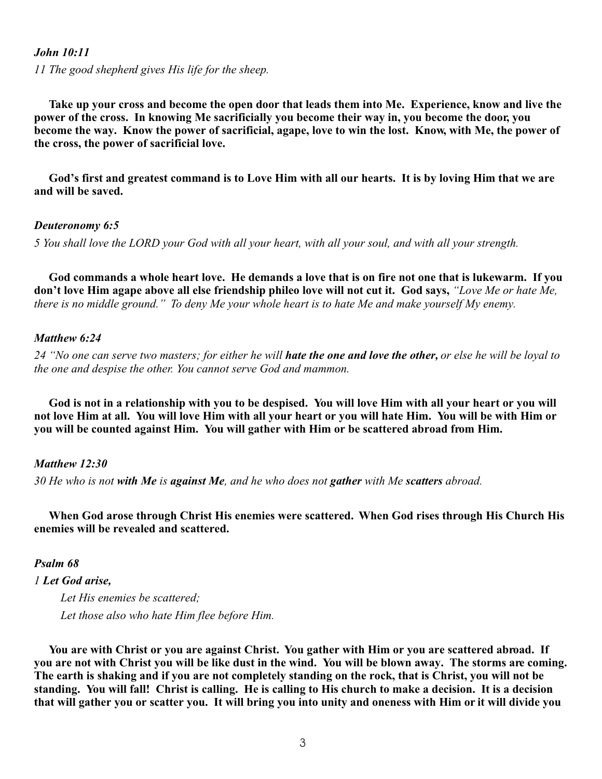#### *John 10:11*

*11 The good shepherd gives His life for the sheep.*

 **Take up your cross and become the open door that leads them into Me. Experience, know and live the power of the cross. In knowing Me sacrificially you become their way in, you become the door, you become the way. Know the power of sacrificial, agape, love to win the lost. Know, with Me, the power of the cross, the power of sacrificial love.**

 **God's first and greatest command is to Love Him with all our hearts. It is by loving Him that we are and will be saved.** 

#### *Deuteronomy 6:5*

*5 You shall love the LORD your God with all your heart, with all your soul, and with all your strength.*

**God commands a whole heart love. He demands a love that is on fire not one that is lukewarm. If you don't love Him agape above all else friendship phileo love will not cut it. God says,** *"Love Me or hate Me, there is no middle ground."**To deny Me your whole heart is to hate Me and make yourself My enemy.*

#### *Matthew 6:24*

*24 "No one can serve two masters; for either he will hate the one and love the other, or else he will be loyal to the one and despise the other. You cannot serve God and mammon.*

**God is not in a relationship with you to be despised. You will love Him with all your heart or you will not love Him at all. You will love Him with all your heart or you will hate Him. You will be with Him or you will be counted against Him. You will gather with Him or be scattered abroad from Him.**

#### *Matthew 12:30*

*30 He who is not with Me is against Me, and he who does not gather with Me scatters abroad.* 

**When God arose through Christ His enemies were scattered. When God rises through His Church His enemies will be revealed and scattered.**

*Psalm 68*

*1 Let God arise, Let His enemies be scattered; Let those also who hate Him flee before Him.*

**You are with Christ or you are against Christ. You gather with Him or you are scattered abroad. If you are not with Christ you will be like dust in the wind. You will be blown away. The storms are coming. The earth is shaking and if you are not completely standing on the rock, that is Christ, you will not be standing. You will fall! Christ is calling. He is calling to His church to make a decision. It is a decision that will gather you or scatter you. It will bring you into unity and oneness with Him or it will divide you**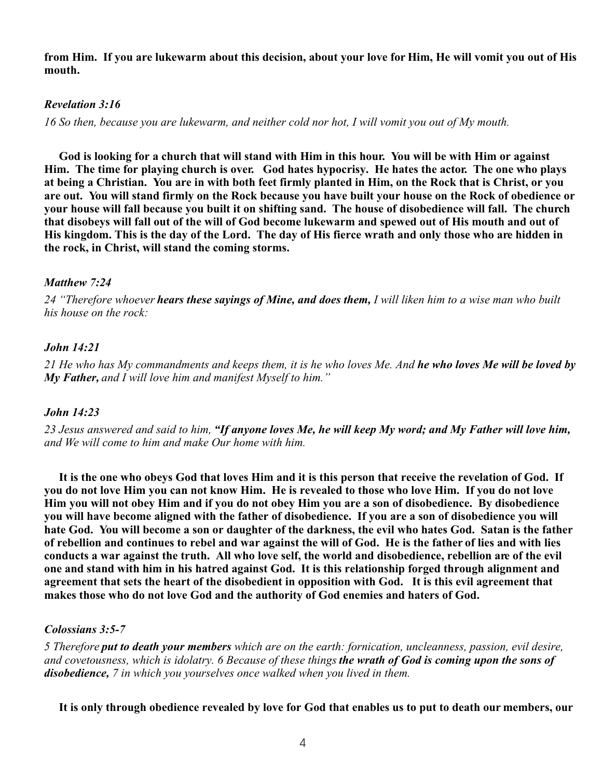**from Him. If you are lukewarm about this decision, about your love for Him, He will vomit you out of His mouth.**

# *Revelation 3:16*

*16 So then, because you are lukewarm, and neither cold nor hot, I will vomit you out of My mouth.*

**God is looking for a church that will stand with Him in this hour. You will be with Him or against Him. The time for playing church is over. God hates hypocrisy. He hates the actor. The one who plays at being a Christian. You are in with both feet firmly planted in Him, on the Rock that is Christ, or you are out. You will stand firmly on the Rock because you have built your house on the Rock of obedience or your house will fall because you built it on shifting sand. The house of disobedience will fall. The church that disobeys will fall out of the will of God become lukewarm and spewed out of His mouth and out of His kingdom. This is the day of the Lord. The day of His fierce wrath and only those who are hidden in the rock, in Christ, will stand the coming storms.**

# *Matthew 7:24*

*24 "Therefore whoever hears these sayings of Mine, and does them, I will liken him to a wise man who built his house on the rock:*

# *John 14:21*

*21 He who has My commandments and keeps them, it is he who loves Me. And he who loves Me will be loved by My Father, and I will love him and manifest Myself to him."* 

# *John 14:23*

*23 Jesus answered and said to him, "If anyone loves Me, he will keep My word; and My Father will love him, and We will come to him and make Our home with him.*

**It is the one who obeys God that loves Him and it is this person that receive the revelation of God. If you do not love Him you can not know Him. He is revealed to those who love Him. If you do not love Him you will not obey Him and if you do not obey Him you are a son of disobedience. By disobedience you will have become aligned with the father of disobedience. If you are a son of disobedience you will hate God. You will become a son or daughter of the darkness, the evil who hates God. Satan is the father of rebellion and continues to rebel and war against the will of God. He is the father of lies and with lies conducts a war against the truth. All who love self, the world and disobedience, rebellion are of the evil one and stand with him in his hatred against God. It is this relationship forged through alignment and agreement that sets the heart of the disobedient in opposition with God. It is this evil agreement that makes those who do not love God and the authority of God enemies and haters of God.** 

# *Colossians 3:5-7*

*5 Therefore put to death your members which are on the earth: fornication, uncleanness, passion, evil desire, and covetousness, which is idolatry. 6 Because of these things the wrath of God is coming upon the sons of disobedience, 7 in which you yourselves once walked when you lived in them.* 

**It is only through obedience revealed by love for God that enables us to put to death our members, our**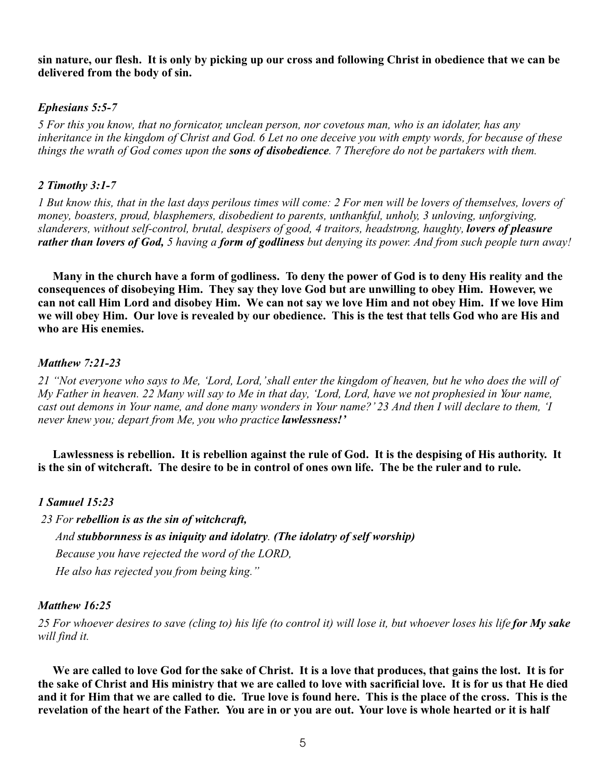**sin nature, our flesh. It is only by picking up our cross and following Christ in obedience that we can be delivered from the body of sin.** 

# *Ephesians 5:5-7*

*5 For this you know, that no fornicator, unclean person, nor covetous man, who is an idolater, has any inheritance in the kingdom of Christ and God. 6 Let no one deceive you with empty words, for because of these things the wrath of God comes upon the sons of disobedience. 7 Therefore do not be partakers with them.*

## *2 Timothy 3:1-7*

*1 But know this, that in the last days perilous times will come: 2 For men will be lovers of themselves, lovers of money, boasters, proud, blasphemers, disobedient to parents, unthankful, unholy, 3 unloving, unforgiving, slanderers, without self-control, brutal, despisers of good, 4 traitors, headstrong, haughty, lovers of pleasure rather than lovers of God, 5 having a form of godliness but denying its power. And from such people turn away!*

**Many in the church have a form of godliness. To deny the power of God is to deny His reality and the consequences of disobeying Him. They say they love God but are unwilling to obey Him. However, we can not call Him Lord and disobey Him. We can not say we love Him and not obey Him. If we love Him we will obey Him. Our love is revealed by our obedience. This is the test that tells God who are His and who are His enemies.** 

### *Matthew 7:21-23*

*21 "Not everyone who says to Me, 'Lord, Lord,' shall enter the kingdom of heaven, but he who does the will of My Father in heaven. 22 Many will say to Me in that day, 'Lord, Lord, have we not prophesied in Your name, cast out demons in Your name, and done many wonders in Your name?' 23 And then I will declare to them, 'I never knew you; depart from Me, you who practice lawlessness!'*

Lawlessness is rebellion. It is rebellion against the rule of God. It is the despising of His authority. It **is the sin of witchcraft. The desire to be in control of ones own life. The be the ruler and to rule.** 

# *1 Samuel 15:23*

 *23 For rebellion is as the sin of witchcraft, And stubbornness is as iniquity and idolatry. (The idolatry of self worship) Because you have rejected the word of the LORD, He also has rejected you from being king."* 

### *Matthew 16:25*

*25 For whoever desires to save (cling to) his life (to control it) will lose it, but whoever loses his life for My sake will find it.*

**We are called to love God for the sake of Christ. It is a love that produces, that gains the lost. It is for the sake of Christ and His ministry that we are called to love with sacrificial love. It is for us that He died and it for Him that we are called to die. True love is found here. This is the place of the cross. This is the revelation of the heart of the Father. You are in or you are out. Your love is whole hearted or it is half**